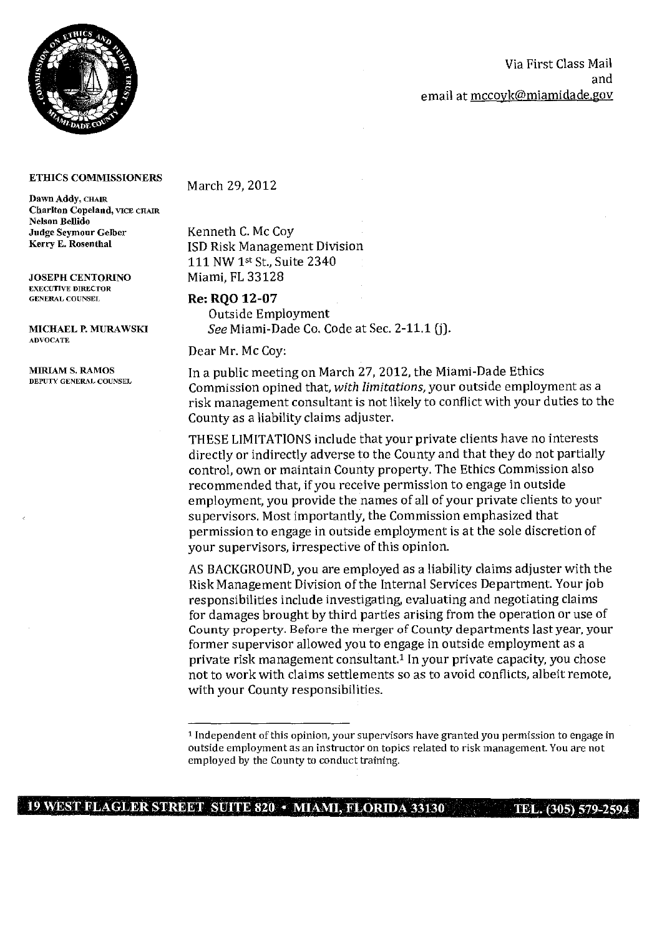

## Via First Class Mail and email at mccoyk@miamidade.gov

#### **ETHICS COMMISSIONERS**

Dawn Addy, CHAIR Chariton Copeland, VICE CHAIR Nelson Bellido Judge Seymour Gelber Kerry E. Rosenthal

JOSEPH CENTORINO EXECUTIVE DIRECTOR GENERAL COUNSEL

MICHAEL P. MURAWSKI ADVOCATE

## March 29, 2012

Kenneth *C.* Mc Coy ISD Risk Management Division 111 NW 1st St., Suite 2340 Miami, FL 33128

### **Re; RQO 12-07**

Outside Employment *See* Miami-Dade Co. Code at Sec. 2-11.1 (j).

Dear Mr. Mc Coy:

MIRIAM S. RAMOS In a public meeting on March 27, 2012, the Miami-Dade Ethics<br>DEPUTY GENERAL COUNSEL Commission opined that, *with limitations*, your outside employment as a risk management consultant is not likely to conflict with your duties to the County as a liability claims adjuster.

> THESE LIMITATIONS include that your private clients have no interests directly or indirectly adverse to the County and that they do not partially control, own or maintain County property. The Ethics Commission also recommended that, if you receive permission to engage in outside employment, you provide the names of all of your private clients to your supervisors. Most importantly, the Commission emphasized that permission to engage in outside employment is at the sole discretion of your supervisors, irrespective of this opinion.

AS BACKGROUND, you are employed as a liability claims adjuster with the Risk Management Division of the Internal Services Department Your job responsibilities include investigating, evaluating and negotiating claims for damages brought by third parties arising from the operation or use of County property. Before the merger of County departments last year, your former supervisor allowed you to engage in outside employment as a private risk management consultant.<sup>1</sup> In your private capacity, you chose not to work with claims settlements so as to avoid conflicts, albeit remote, with your County responsibilities.

# **19 WEST FLAGLER STREET SUITE 820 • MIAMI, FLORIDA 33130 TEL. (305) 579-2594**

<sup>1</sup> Independent of this opinion, your supervisors have granted you permission to engage in outside employment as an instructor on topics related to risk management. You are not employed by the County to conduct training.